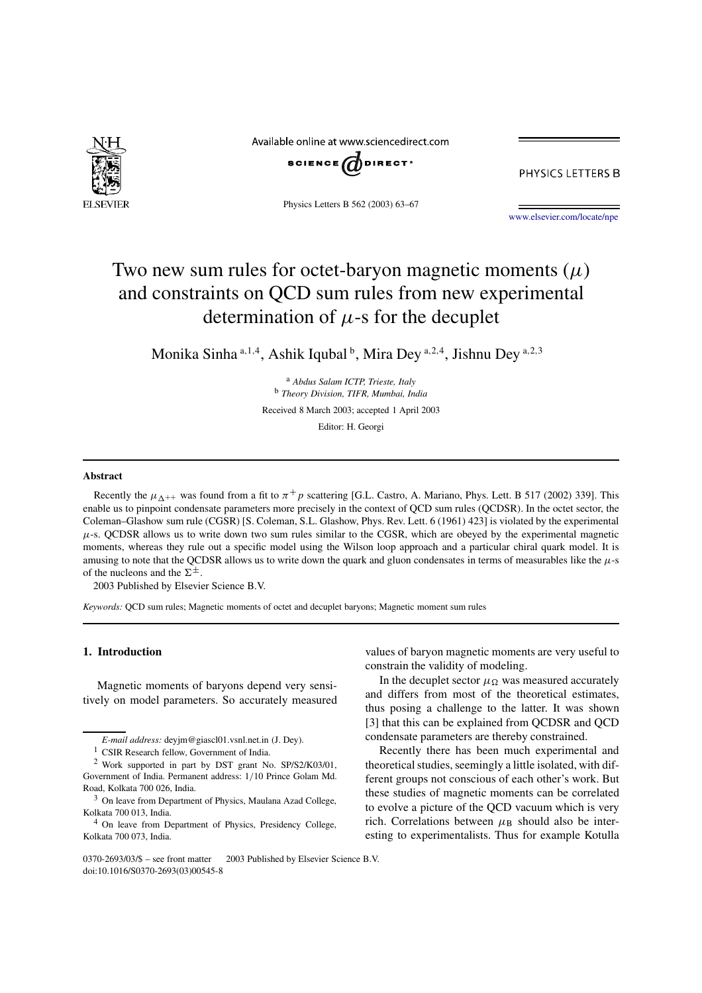

Available online at www.sciencedirect.com



PHYSICS LETTERS B

Physics Letters B 562 (2003) 63–67

www.elsevier.com/locate/npe

# Two new sum rules for octet-baryon magnetic moments  $(\mu)$ and constraints on QCD sum rules from new experimental determination of  $\mu$ -s for the decuplet

Monika Sinha a,1,4, Ashik Iqubal b, Mira Dey a,2,4, Jishnu Dey a,2,3

<sup>a</sup> *Abdus Salam ICTP, Trieste, Italy* <sup>b</sup> *Theory Division, TIFR, Mumbai, India* Received 8 March 2003; accepted 1 April 2003

Editor: H. Georgi

#### **Abstract**

Recently the  $\mu_{\Delta^{++}}$  was found from a fit to  $\pi^+p$  scattering [G.L. Castro, A. Mariano, Phys. Lett. B 517 (2002) 339]. This enable us to pinpoint condensate parameters more precisely in the context of QCD sum rules (QCDSR). In the octet sector, the Coleman–Glashow sum rule (CGSR) [S. Coleman, S.L. Glashow, Phys. Rev. Lett. 6 (1961) 423] is violated by the experimental  $\mu$ -s. QCDSR allows us to write down two sum rules similar to the CGSR, which are obeyed by the experimental magnetic moments, whereas they rule out a specific model using the Wilson loop approach and a particular chiral quark model. It is amusing to note that the QCDSR allows us to write down the quark and gluon condensates in terms of measurables like the  $\mu$ -s of the nucleons and the  $\Sigma^{\pm}$ .

2003 Published by Elsevier Science B.V.

*Keywords:* QCD sum rules; Magnetic moments of octet and decuplet baryons; Magnetic moment sum rules

## **1. Introduction**

Magnetic moments of baryons depend very sensitively on model parameters. So accurately measured values of baryon magnetic moments are very useful to constrain the validity of modeling. In the decuplet sector  $\mu_{\Omega}$  was measured accurately

and differs from most of the theoretical estimates, thus posing a challenge to the latter. It was shown [3] that this can be explained from QCDSR and QCD condensate parameters are thereby constrained.

Recently there has been much experimental and theoretical studies, seemingly a little isolated, with different groups not conscious of each other's work. But these studies of magnetic moments can be correlated to evolve a picture of the QCD vacuum which is very rich. Correlations between  $\mu_B$  should also be interesting to experimentalists. Thus for example Kotulla

*E-mail address:* deyjm@giascl01.vsnl.net.in (J. Dey).

<sup>&</sup>lt;sup>1</sup> CSIR Research fellow, Government of India.

<sup>2</sup> Work supported in part by DST grant No. SP/S2/K03/01, Government of India. Permanent address: 1/10 Prince Golam Md. Road, Kolkata 700 026, India.

<sup>&</sup>lt;sup>3</sup> On leave from Department of Physics, Maulana Azad College, Kolkata 700 013, India.

<sup>4</sup> On leave from Department of Physics, Presidency College, Kolkata 700 073, India.

<sup>0370-2693/03/\$ -</sup> see front matter © 2003 Published by Elsevier Science B.V. doi:10.1016/S0370-2693(03)00545-8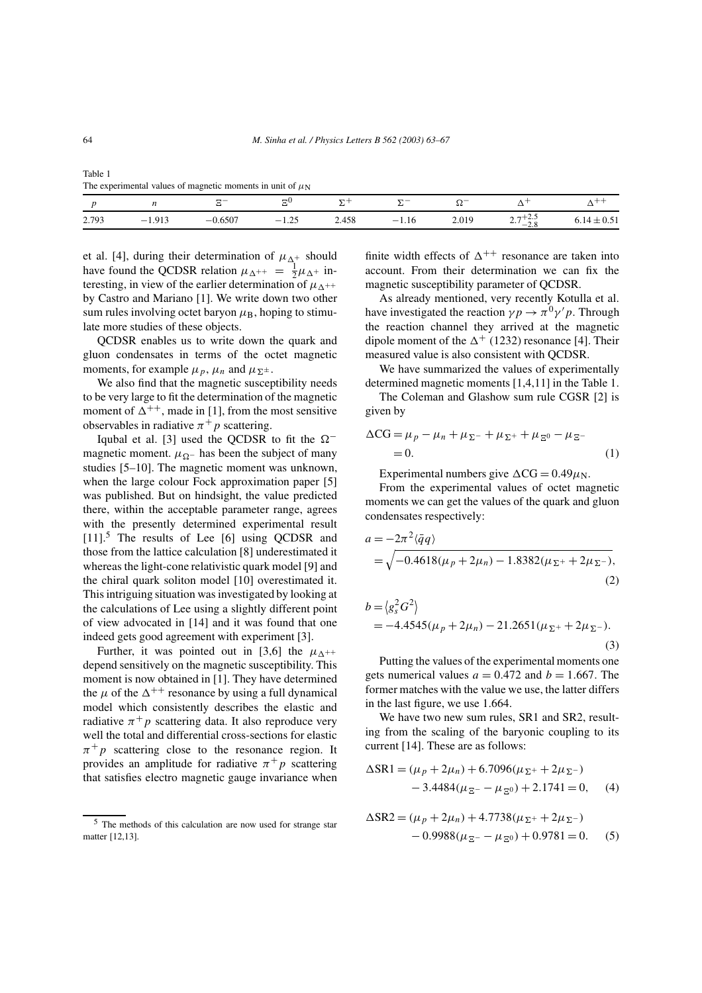|       |          |           | ΞU      | $\Sigma$ + |         |       |                     | $\wedge$ $\vee$ |
|-------|----------|-----------|---------|------------|---------|-------|---------------------|-----------------|
| 2.793 | $-1.913$ | $-0.6507$ | $-1.25$ | 2.458      | $-1.16$ | 2.019 | $2.7^{+2.5}_{-2.8}$ | $6.14 \pm 0.51$ |

Table 1 The experimental values of magnetic moments in unit of  $\mu$ <sub>N</sub>

et al. [4], during their determination of  $\mu_{\Delta^+}$  should have found the QCDSR relation  $\mu_{\Delta^{++}} = \frac{1}{2}\mu_{\Delta^+}$  interesting, in view of the earlier determination of  $\mu_{\Lambda^{++}}$ by Castro and Mariano [1]. We write down two other sum rules involving octet baryon  $\mu_B$ , hoping to stimulate more studies of these objects.

QCDSR enables us to write down the quark and gluon condensates in terms of the octet magnetic moments, for example  $\mu_p$ ,  $\mu_n$  and  $\mu_{\Sigma^{\pm}}$ .

We also find that the magnetic susceptibility needs to be very large to fit the determination of the magnetic moment of  $\Delta^{++}$ , made in [1], from the most sensitive observables in radiative  $\pi^+ p$  scattering.

Iqubal et al. [3] used the QCDSR to fit the  $\Omega^$ magnetic moment.  $\mu_{\Omega}$  has been the subject of many studies [5–10]. The magnetic moment was unknown, when the large colour Fock approximation paper [5] was published. But on hindsight, the value predicted there, within the acceptable parameter range, agrees with the presently determined experimental result [11].<sup>5</sup> The results of Lee [6] using QCDSR and those from the lattice calculation [8] underestimated it whereas the light-cone relativistic quark model [9] and the chiral quark soliton model [10] overestimated it. This intriguing situation was investigated by looking at the calculations of Lee using a slightly different point of view advocated in [14] and it was found that one indeed gets good agreement with experiment [3].

Further, it was pointed out in [3,6] the  $\mu_{\Lambda^{++}}$ depend sensitively on the magnetic susceptibility. This moment is now obtained in [1]. They have determined the  $\mu$  of the  $\Delta^{++}$  resonance by using a full dynamical model which consistently describes the elastic and radiative  $\pi^+ p$  scattering data. It also reproduce very well the total and differential cross-sections for elastic  $\pi^+ p$  scattering close to the resonance region. It provides an amplitude for radiative  $\pi^+ p$  scattering that satisfies electro magnetic gauge invariance when finite width effects of  $\Delta^{++}$  resonance are taken into account. From their determination we can fix the magnetic susceptibility parameter of QCDSR.

As already mentioned, very recently Kotulla et al. have investigated the reaction  $\gamma p \to \pi^0 \gamma' p$ . Through the reaction channel they arrived at the magnetic dipole moment of the  $\Delta^+$  (1232) resonance [4]. Their measured value is also consistent with QCDSR.

We have summarized the values of experimentally determined magnetic moments [1,4,11] in the Table 1.

The Coleman and Glashow sum rule CGSR [2] is given by

$$
\Delta CG = \mu_p - \mu_n + \mu_{\Sigma^-} + \mu_{\Sigma^+} + \mu_{\Xi^0} - \mu_{\Xi^-}
$$
  
= 0. (1)

Experimental numbers give  $\Delta CG = 0.49 \mu$ <sub>N</sub>.

From the experimental values of octet magnetic moments we can get the values of the quark and gluon condensates respectively:

$$
a = -2\pi^2 \langle \bar{q}q \rangle
$$
  
=  $\sqrt{-0.4618(\mu_p + 2\mu_n) - 1.8382(\mu_{\Sigma^+} + 2\mu_{\Sigma^-})},$   
(2)

$$
b = \langle g_s^2 G^2 \rangle
$$
  
= -4.4545( $\mu_p + 2\mu_n$ ) - 21.2651( $\mu_{\Sigma^+} + 2\mu_{\Sigma^-}$ ). (3)

Putting the values of the experimental moments one gets numerical values  $a = 0.472$  and  $b = 1.667$ . The former matches with the value we use, the latter differs in the last figure, we use 1.664.

We have two new sum rules, SR1 and SR2, resulting from the scaling of the baryonic coupling to its current [14]. These are as follows:

$$
\Delta \text{SR1} = (\mu_p + 2\mu_n) + 6.7096(\mu_{\Sigma^+} + 2\mu_{\Sigma^-})
$$
  
- 3.4484(\mu\_{\Sigma^-} - \mu\_{\Sigma^0}) + 2.1741 = 0, (4)

$$
\Delta \text{SR2} = (\mu_p + 2\mu_n) + 4.7738(\mu_{\Sigma^+} + 2\mu_{\Sigma^-})
$$
  
- 0.9988( $\mu_{\Xi^-} - \mu_{\Xi^0}$ ) + 0.9781 = 0. (5)

<sup>5</sup> The methods of this calculation are now used for strange star matter [12,13].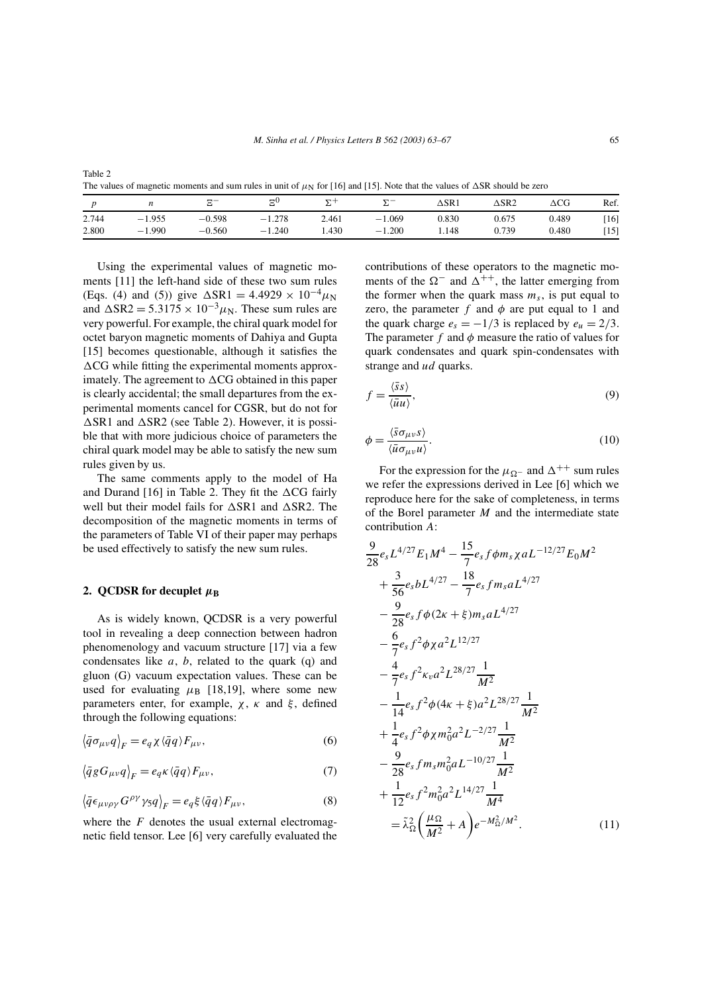| ۹ |        |
|---|--------|
|   | I<br>I |

| The values of magnetic moments and sum rules in unit of $\mu_N$ for [16] and [15]. Note that the values of $\Delta SR$ should be zero |          |          |          |       |          |       |                 |       |      |
|---------------------------------------------------------------------------------------------------------------------------------------|----------|----------|----------|-------|----------|-------|-----------------|-------|------|
|                                                                                                                                       |          |          | ΞU       |       |          | ∆SR 1 | $\triangle$ SR2 | ACG   | Ref. |
| 2.744                                                                                                                                 | $-1.955$ | $-0.598$ | $-1.278$ | 2.461 | $-1.069$ | 0.830 | 0.675           | 0.489 | [16] |
| 2.800                                                                                                                                 | $-1.990$ | $-0.560$ | $-1.240$ | .430  | $-1.200$ | .148  | 0.739           | 0.480 | [15] |

Using the experimental values of magnetic moments [11] the left-hand side of these two sum rules (Eqs. (4) and (5)) give  $\Delta$ SR1 = 4.4929 × 10<sup>-4</sup> $\mu$ <sub>N</sub> and  $\Delta$ SR2 = 5.3175 × 10<sup>-3</sup> $\mu$ <sub>N</sub>. These sum rules are very powerful. For example, the chiral quark model for octet baryon magnetic moments of Dahiya and Gupta [15] becomes questionable, although it satisfies the  $\Delta CG$  while fitting the experimental moments approximately. The agreement to  $\Delta CG$  obtained in this paper is clearly accidental; the small departures from the experimental moments cancel for CGSR, but do not for  $\Delta$ SR1 and  $\Delta$ SR2 (see Table 2). However, it is possible that with more judicious choice of parameters the chiral quark model may be able to satisfy the new sum rules given by us.

The same comments apply to the model of Ha and Durand [16] in Table 2. They fit the  $\triangle CG$  fairly well but their model fails for  $\triangle$ SR1 and  $\triangle$ SR2. The decomposition of the magnetic moments in terms of the parameters of Table VI of their paper may perhaps be used effectively to satisfy the new sum rules.

#### **2. QCDSR** for decuplet  $\mu_B$

Table 2

As is widely known, QCDSR is a very powerful tool in revealing a deep connection between hadron phenomenology and vacuum structure [17] via a few condensates like  $a, b$ , related to the quark (q) and gluon (G) vacuum expectation values. These can be used for evaluating  $\mu$ <sub>B</sub> [18,19], where some new parameters enter, for example,  $\chi$ ,  $\kappa$  and  $\xi$ , defined through the following equations:

$$
\left\langle \bar{q}\sigma_{\mu\nu}q \right\rangle_F = e_q \chi \left\langle \bar{q}q \right\rangle F_{\mu\nu},\tag{6}
$$

$$
\langle \bar{q}g G_{\mu\nu} q \rangle_F = e_q \kappa \langle \bar{q}q \rangle F_{\mu\nu},\tag{7}
$$

$$
\langle \bar{q} \epsilon_{\mu\nu\rho\gamma} G^{\rho\gamma} \gamma_5 q \rangle_F = e_q \xi \langle \bar{q} q \rangle F_{\mu\nu},\tag{8}
$$

where the  $F$  denotes the usual external electromagnetic field tensor. Lee [6] very carefully evaluated the contributions of these operators to the magnetic moments of the  $\Omega^-$  and  $\Delta^{++}$ , the latter emerging from the former when the quark mass  $m<sub>s</sub>$ , is put equal to zero, the parameter f and  $\phi$  are put equal to 1 and the quark charge  $e_s = -1/3$  is replaced by  $e_u = 2/3$ . The parameter f and  $\phi$  measure the ratio of values for quark condensates and quark spin-condensates with strange and *ud* quarks.

$$
f = \frac{\langle \bar{s}s \rangle}{\langle \bar{u}u \rangle},\tag{9}
$$

$$
\phi = \frac{\langle \bar{s}\sigma_{\mu\nu}s \rangle}{\langle \bar{u}\sigma_{\mu\nu}u \rangle}.
$$
\n(10)

For the expression for the  $\mu_{\Omega}$ - and  $\Delta^{++}$  sum rules we refer the expressions derived in Lee [6] which we reproduce here for the sake of completeness, in terms of the Borel parameter  $M$  and the intermediate state contribution A:

$$
\frac{9}{28}e_s L^{4/27} E_1 M^4 - \frac{15}{7}e_s f \phi m_s \chi a L^{-12/27} E_0 M^2 \n+ \frac{3}{56}e_s b L^{4/27} - \frac{18}{7}e_s f m_s a L^{4/27} \n- \frac{9}{28}e_s f \phi (2\kappa + \xi) m_s a L^{4/27} \n- \frac{6}{7}e_s f^2 \phi \chi a^2 L^{12/27} \n- \frac{4}{7}e_s f^2 \kappa_v a^2 L^{28/27} \frac{1}{M^2} \n- \frac{1}{14}e_s f^2 \phi (\kappa + \xi) a^2 L^{28/27} \frac{1}{M^2} \n+ \frac{1}{4}e_s f^2 \phi \chi m_0^2 a^2 L^{-2/27} \frac{1}{M^2} \n- \frac{9}{28}e_s f m_s m_0^2 a L^{-10/27} \frac{1}{M^2} \n+ \frac{1}{12}e_s f^2 m_0^2 a^2 L^{14/27} \frac{1}{M^4} \n= \tilde{\lambda}_{\Omega}^2 \left( \frac{\mu_{\Omega}}{M^2} + A \right) e^{-M_{\Omega}^2/M^2}.
$$
\n(11)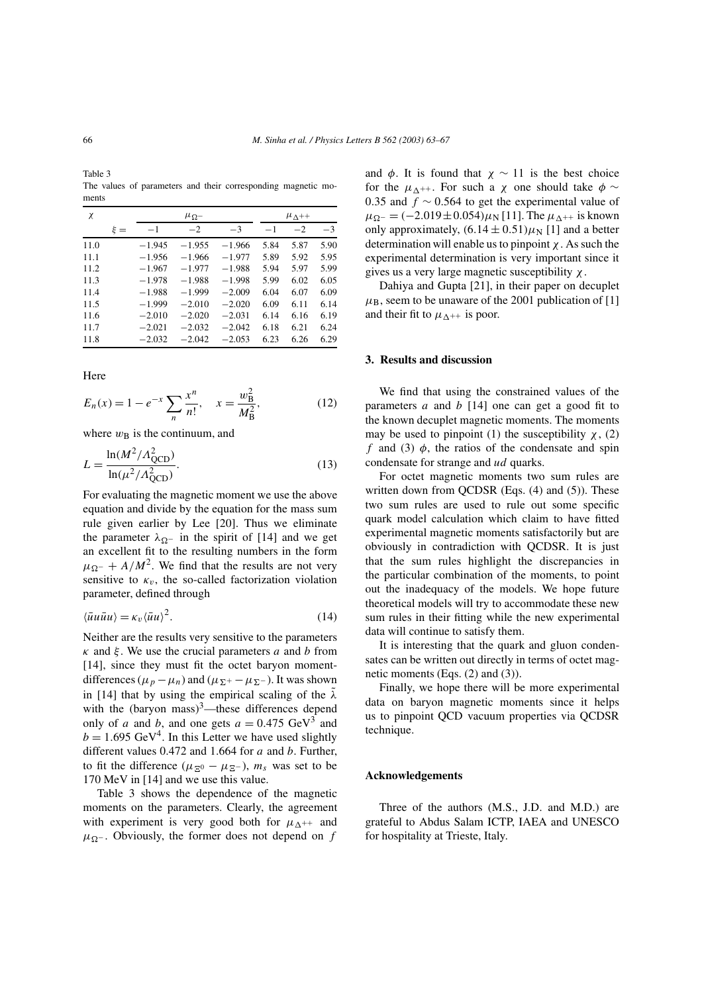Table 3 The values of parameters and their corresponding magnetic moments

| χ    |         |          | $\mu_{\Lambda^{++}}$ |          |      |      |      |
|------|---------|----------|----------------------|----------|------|------|------|
|      | $\xi =$ | $-1$     | $-2$                 | $-3$     | $-1$ | $-2$ | $-3$ |
| 11.0 |         | $-1.945$ | $-1.955$             | $-1.966$ | 5.84 | 5.87 | 5.90 |
| 11.1 |         | $-1.956$ | $-1.966$             | $-1.977$ | 5.89 | 5.92 | 5.95 |
| 11.2 |         | $-1.967$ | $-1.977$             | $-1.988$ | 5.94 | 5.97 | 5.99 |
| 11.3 |         | $-1.978$ | $-1.988$             | $-1.998$ | 5.99 | 6.02 | 6.05 |
| 11.4 |         | $-1.988$ | $-1.999$             | $-2.009$ | 6.04 | 6.07 | 6.09 |
| 11.5 |         | $-1.999$ | $-2.010$             | $-2.020$ | 6.09 | 6.11 | 6.14 |
| 11.6 |         | $-2.010$ | $-2.020$             | $-2.031$ | 6.14 | 6.16 | 6.19 |
| 11.7 |         | $-2.021$ | $-2.032$             | $-2.042$ | 6.18 | 6.21 | 6.24 |
| 11.8 |         | $-2.032$ | $-2.042$             | $-2.053$ | 6.23 | 6.26 | 6.29 |

Here

$$
E_n(x) = 1 - e^{-x} \sum_{n} \frac{x^n}{n!}, \quad x = \frac{w_B^2}{M_B^2},
$$
 (12)

where  $w_B$  is the continuum, and

$$
L = \frac{\ln(M^2/A_{\text{QCD}}^2)}{\ln(\mu^2/A_{\text{QCD}}^2)}.
$$
 (13)

For evaluating the magnetic moment we use the above equation and divide by the equation for the mass sum rule given earlier by Lee [20]. Thus we eliminate the parameter  $\lambda_{\Omega}$ - in the spirit of [14] and we get an excellent fit to the resulting numbers in the form  $\mu_{\Omega^{-}} + A/M^2$ . We find that the results are not very sensitive to  $\kappa_v$ , the so-called factorization violation parameter, defined through

$$
\langle \bar{u}u\bar{u}u\rangle = \kappa_v \langle \bar{u}u\rangle^2. \tag{14}
$$

Neither are the results very sensitive to the parameters  $\kappa$  and  $\xi$ . We use the crucial parameters a and b from [14], since they must fit the octet baryon momentdifferences ( $\mu_p - \mu_n$ ) and ( $\mu_{\Sigma^+} - \mu_{\Sigma^-}$ ). It was shown in [14] that by using the empirical scaling of the  $\lambda$ with the (baryon mass)<sup>3</sup>—these differences depend only of a and b, and one gets  $a = 0.475 \text{ GeV}^3$  and  $b = 1.695 \text{ GeV}^4$ . In this Letter we have used slightly different values  $0.472$  and  $1.664$  for a and b. Further, to fit the difference ( $\mu_{\mathbb{E}^0} - \mu_{\mathbb{E}^-}$ ),  $m_s$  was set to be 170 MeV in [14] and we use this value.

Table 3 shows the dependence of the magnetic moments on the parameters. Clearly, the agreement with experiment is very good both for  $\mu_{\Lambda^{++}}$  and  $\mu_{\Omega}$ -. Obviously, the former does not depend on f and  $\phi$ . It is found that  $\chi \sim 11$  is the best choice for the  $\mu_{\Lambda^{++}}$ . For such a  $\chi$  one should take  $\phi \sim$ 0.35 and  $f \sim 0.564$  to get the experimental value of  $\mu_{\Omega^-} = (-2.019 \pm 0.054) \mu_N$  [11]. The  $\mu_{\Lambda^{++}}$  is known only approximately,  $(6.14 \pm 0.51)\mu_N$  [1] and a better determination will enable us to pinpoint  $\chi$ . As such the experimental determination is very important since it gives us a very large magnetic susceptibility  $\chi$ .

Dahiya and Gupta [21], in their paper on decuplet  $\mu$ <sub>B</sub>, seem to be unaware of the 2001 publication of [1] and their fit to  $\mu_{\Delta^{++}}$  is poor.

#### **3. Results and discussion**

We find that using the constrained values of the parameters a and  $b \mid 14$  one can get a good fit to the known decuplet magnetic moments. The moments may be used to pinpoint (1) the susceptibility  $\chi$ , (2) f and (3)  $\phi$ , the ratios of the condensate and spin condensate for strange and ud quarks.

For octet magnetic moments two sum rules are written down from QCDSR (Eqs. (4) and (5)). These two sum rules are used to rule out some specific quark model calculation which claim to have fitted experimental magnetic moments satisfactorily but are obviously in contradiction with QCDSR. It is just that the sum rules highlight the discrepancies in the particular combination of the moments, to point out the inadequacy of the models. We hope future theoretical models will try to accommodate these new sum rules in their fitting while the new experimental data will continue to satisfy them.

It is interesting that the quark and gluon condensates can be written out directly in terms of octet magnetic moments (Eqs. (2) and (3)).

Finally, we hope there will be more experimental data on baryon magnetic moments since it helps us to pinpoint QCD vacuum properties via QCDSR technique.

#### **Acknowledgements**

Three of the authors (M.S., J.D. and M.D.) are grateful to Abdus Salam ICTP, IAEA and UNESCO for hospitality at Trieste, Italy.